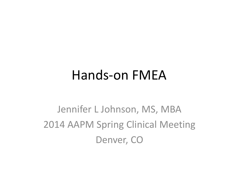#### Hands-on FMEA

Jennifer L Johnson, MS, MBA 2014 AAPM Spring Clinical Meeting Denver, CO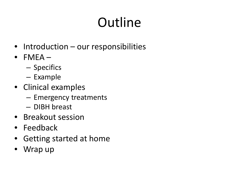# **Outline**

- Introduction our responsibilities
- $\bullet$  FMEA
	- Specifics
	- Example
- Clinical examples
	- Emergency treatments
	- DIBH breast
- Breakout session
- Feedback
- Getting started at home
- Wrap up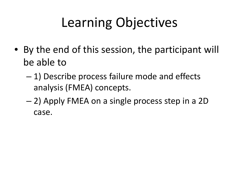# Learning Objectives

- By the end of this session, the participant will be able to
	- 1) Describe process failure mode and effects analysis (FMEA) concepts.
	- 2) Apply FMEA on a single process step in a 2D case.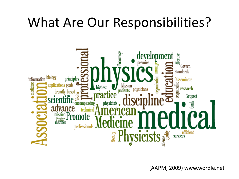

(AAPM, 2009) www.wordle.net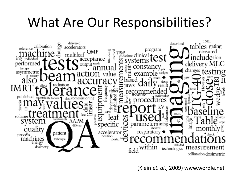

(Klein *et. al*., 2009) www.wordle.net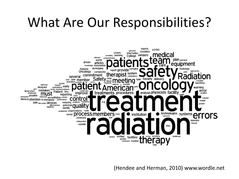

(Hendee and Herman, 2010) www.wordle.net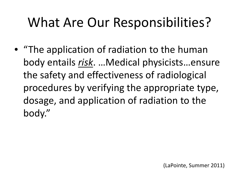• "The application of radiation to the human body entails *risk*. …Medical physicists…ensure the safety and effectiveness of radiological procedures by verifying the appropriate type, dosage, and application of radiation to the body."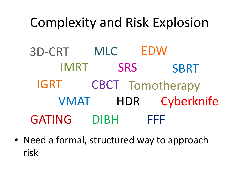#### Complexity and Risk Explosion

VMAT 3D-CRT MLC IGRT CBCT Tomotherapy IMRT SRS SBRT GATING DIBH EDW FFF **SRS** HDR Cyberknife

• Need a formal, structured way to approach risk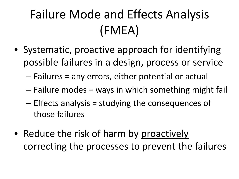- Systematic, proactive approach for identifying possible failures in a design, process or service
	- Failures = any errors, either potential or actual
	- Failure modes = ways in which something might fail
	- Effects analysis = studying the consequences of those failures
- Reduce the risk of harm by proactively correcting the processes to prevent the failures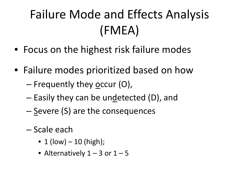- Focus on the highest risk failure modes
- Failure modes prioritized based on how
	- $-$  Frequently they occur (O),
	- Easily they can be undetected (D), and
	- Severe (S) are the consequences
	- Scale each
		- $1$  (low)  $-10$  (high);
		- Alternatively  $1 3$  or  $1 5$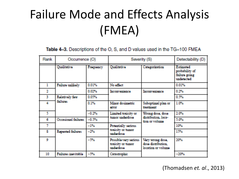Table 4-3. Descriptions of the O, S, and D values used in the TG-100 FMEA

| <b>Rank</b> | Occurrence (O)                 |                  | Severity (S)                                             | Detectability (D)                                            |                                                            |
|-------------|--------------------------------|------------------|----------------------------------------------------------|--------------------------------------------------------------|------------------------------------------------------------|
|             | <b>Qualitative</b>             | <b>Frequency</b> | <b>Oualitative</b>                                       | Categorization                                               | Estimated<br>probability of<br>failure going<br>undetected |
|             | Failure unlikely               | 0.01%            | No office:                                               |                                                              | 0.01%                                                      |
| 2           |                                | 0.02%            | Inconvenience                                            | Inconvenience                                                | 0.2%                                                       |
| 3           | Relatively four                | 0.05%            |                                                          |                                                              | 0.5%                                                       |
| 4           | fail mass                      | 0.1%             | Minor dosimetric<br><b>Print</b>                         | Suboptimal plan or<br><b>Broadmann</b>                       | 1.0%                                                       |
| 5           |                                | $-0.2%$          | Limited toxicity or                                      | Wrong dose, dose                                             | 2.0%                                                       |
| 6           | Occasional failures<br>$-0.5%$ |                  | tumor underdose                                          | distribution, loca-<br>tion or volume                        | 5.0%                                                       |
| 7           |                                | $<1\%$           | Potentially serious                                      |                                                              | 10%                                                        |
| x           | Repeated failures              | $-2\%$           | toxicity or tumor<br>underdose                           |                                                              | 15%                                                        |
| ۰           |                                | $-5%$            | Possible very serious.<br>toxicity or tumor<br>underdose | Vory wrong dose,<br>dose distribution.<br>location or volume | 20%                                                        |
| 10          | Failures inevitable            | $-5%$            | Catastrophic                                             |                                                              | $-20%$                                                     |

(Thomadsen *et. al*., 2013)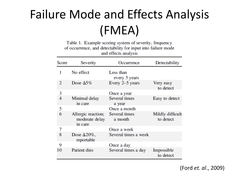Table 1. Example scoring system of severity, frequency of occurrence, and detectability for input into failure mode and effects analysis

| Score          | Severity                                        | Occurrence                 | Detectability                 |
|----------------|-------------------------------------------------|----------------------------|-------------------------------|
| 1              | No effect                                       | Less than<br>every 5 years |                               |
| $\overline{c}$ | Dose $\Delta 5\%$                               | Every 2–5 years            | Very easy<br>to detect        |
| 3              |                                                 | Once a year                |                               |
| 4              | Minimal delay<br>in care                        | Several times<br>a year    | Easy to detect                |
| 5              |                                                 | Once a month               |                               |
| 6              | Allergic reaction;<br>moderate delay<br>in care | Several times<br>a month   | Mildly difficult<br>to detect |
| 7              |                                                 | Once a week                |                               |
| 8              | Dose $\Delta 20\%$ ,<br>reportable              | Several times a week       |                               |
| 9              |                                                 | Once a day                 |                               |
| 10             | <b>Patient dies</b>                             | Several times a day        | Impossible<br>to detect       |

(Ford *et. al*., 2009)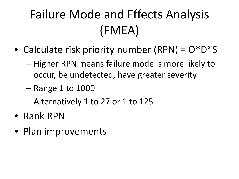- Calculate risk priority number (RPN) =  $O*D*S$ 
	- Higher RPN means failure mode is more likely to occur, be undetected, have greater severity
	- Range 1 to 1000
	- Alternatively 1 to 27 or 1 to 125
- Rank RPN
- Plan improvements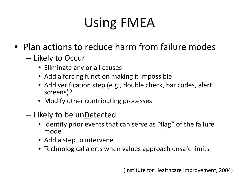# Using FMEA

- Plan actions to reduce harm from failure modes
	- Likely to Occur
		- Eliminate any or all causes
		- Add a forcing function making it impossible
		- Add verification step (e.g., double check, bar codes, alert screens)?
		- Modify other contributing processes
	- Likely to be unDetected
		- Identify prior events that can serve as "flag" of the failure mode
		- Add a step to intervene
		- Technological alerts when values approach unsafe limits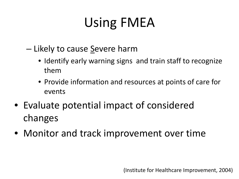# Using FMEA

- Likely to cause Severe harm
	- Identify early warning signs and train staff to recognize them
	- Provide information and resources at points of care for events
- Evaluate potential impact of considered changes
- Monitor and track improvement over time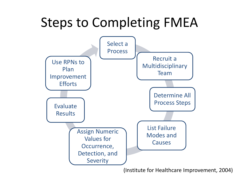# Steps to Completing FMEA



(Institute for Healthcare Improvement, 2004)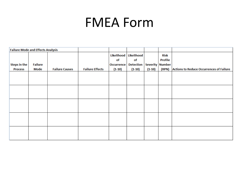#### FMEA Form

| <b>Failure Mode and Effects Analysis</b> |                |                       |                        |                         |                                                   |                        |                               |                                                 |
|------------------------------------------|----------------|-----------------------|------------------------|-------------------------|---------------------------------------------------|------------------------|-------------------------------|-------------------------------------------------|
| <b>Steps in the</b>                      | <b>Failure</b> |                       |                        | of<br><b>Occurrence</b> | Likelihood   Likelihood<br>of<br><b>Detection</b> | <b>Severity Number</b> | <b>Risk</b><br><b>Profile</b> |                                                 |
| <b>Process</b>                           | Mode           | <b>Failure Causes</b> | <b>Failure Effects</b> | $(1-10)$                | $(1-10)$                                          | $(1-10)$               | (RPN)                         | <b>Actions to Reduce Occurrences of Failure</b> |
|                                          |                |                       |                        |                         |                                                   |                        |                               |                                                 |
|                                          |                |                       |                        |                         |                                                   |                        |                               |                                                 |
|                                          |                |                       |                        |                         |                                                   |                        |                               |                                                 |
|                                          |                |                       |                        |                         |                                                   |                        |                               |                                                 |
|                                          |                |                       |                        |                         |                                                   |                        |                               |                                                 |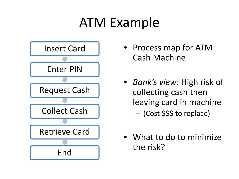# ATM Example



- Process map for ATM Cash Machine
- *Bank's view:* High risk of collecting cash then leaving card in machine

– (Cost \$\$\$ to replace)

• What to do to minimize the risk?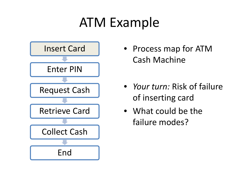## ATM Example



- Process map for ATM Cash Machine
- *Your turn:* Risk of failure of inserting card
- What could be the failure modes?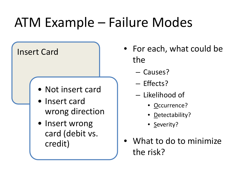# ATM Example – Failure Modes



- For each, what could be the
	- Causes?
	- Effects?
	- Likelihood of
		- Occurrence?
		- Detectability?
		- Severity?
- What to do to minimize the risk?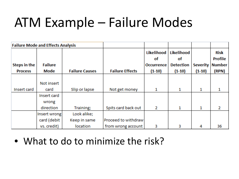## ATM Example – Failure Modes

| <b>Failure Mode and Effects Analysis</b> |                                                                           |               |                                                                                                  |   |                      |                                                  |    |
|------------------------------------------|---------------------------------------------------------------------------|---------------|--------------------------------------------------------------------------------------------------|---|----------------------|--------------------------------------------------|----|
| Steps in the<br><b>Process</b>           | <b>Failure</b><br><b>Failure Causes</b><br><b>Failure Effects</b><br>Mode |               | Likelihood<br>Likelihood<br>οf<br>οf<br><b>Detection</b><br>Occurrence  <br>$(1-10)$<br>$(1-10)$ |   | Severity<br>$(1-10)$ | Risk<br><b>Profile</b><br><b>Number</b><br>(RPN) |    |
|                                          |                                                                           |               |                                                                                                  |   |                      |                                                  |    |
|                                          | Not insert                                                                |               |                                                                                                  |   |                      |                                                  |    |
| Insert card                              | card                                                                      | Slip or lapse | Not get money                                                                                    | 1 | 1                    | 1                                                | 1  |
|                                          | Insert card                                                               |               |                                                                                                  |   |                      |                                                  |    |
|                                          | wrong                                                                     |               |                                                                                                  |   |                      |                                                  |    |
|                                          | direction                                                                 | Training;     | Spits card back out                                                                              | 2 | 1                    | 1                                                | 2  |
|                                          | Insert wrong                                                              | Look alike;   |                                                                                                  |   |                      |                                                  |    |
|                                          | card (debit                                                               | Keep in same  | Proceed to withdraw                                                                              |   |                      |                                                  |    |
|                                          | vs. credit)                                                               | location      | from wrong account                                                                               | 3 | 3                    | 4                                                | 36 |

• What to do to minimize the risk?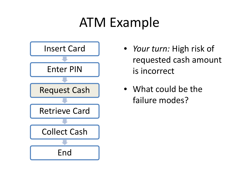## ATM Example



- *Your turn:* High risk of requested cash amount is incorrect
- What could be the failure modes?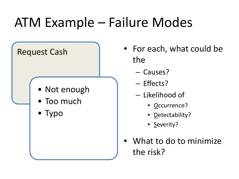## ATM Example – Failure Modes



- For each, what could be the
	- Causes?
	- Effects?
	- Likelihood of
		- Occurrence?
		- Detectability?
		- Severity?
- What to do to minimize the risk?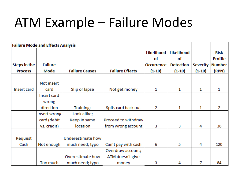## ATM Example – Failure Modes

| <b>Failure Mode and Effects Analysis</b> |                |                       |                        |                   |                  |                 |                |
|------------------------------------------|----------------|-----------------------|------------------------|-------------------|------------------|-----------------|----------------|
|                                          |                |                       |                        | Likelihood        | Likelihood       |                 | <b>Risk</b>    |
|                                          |                |                       |                        | οf                | οf               |                 | <b>Profile</b> |
| Steps in the                             | <b>Failure</b> |                       |                        | <b>Occurrence</b> | <b>Detection</b> | <b>Severity</b> | <b>Number</b>  |
| <b>Process</b>                           | Mode           | <b>Failure Causes</b> | <b>Failure Effects</b> | $(1-10)$          | $(1-10)$         | $(1-10)$        | (RPN)          |
|                                          |                |                       |                        |                   |                  |                 |                |
|                                          | Not insert     |                       |                        |                   |                  |                 |                |
| Insert card                              | card           | Slip or lapse         | Not get money          | 1                 | 1                | 1               | 1              |
|                                          | Insert card    |                       |                        |                   |                  |                 |                |
|                                          | wrong          |                       |                        |                   |                  |                 |                |
|                                          | direction      | Training;             | Spits card back out    | 2                 | 1                | 1               | $\overline{2}$ |
|                                          | Insert wrong   | Look alike;           |                        |                   |                  |                 |                |
|                                          | card (debit    | Keep in same          | Proceed to withdraw    |                   |                  |                 |                |
|                                          | vs. credit)    | location              | from wrong account     | 3                 | 3                | 4               | 36             |
|                                          |                |                       |                        |                   |                  |                 |                |
| Request                                  |                | Underestimate how     |                        |                   |                  |                 |                |
| Cash                                     | Not enough     | much need; typo       | Can't pay with cash    | 6                 | 5                | 4               | 120            |
|                                          |                |                       | Overdraw account;      |                   |                  |                 |                |
|                                          |                | Overestimate how      | ATM doesn't give       |                   |                  |                 |                |
|                                          | Too much       | much need; typo       | money                  | 3                 | 4                | 7               | 84             |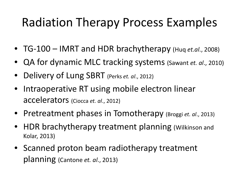#### Radiation Therapy Process Examples

- TG-100 IMRT and HDR brachytherapy (Huq *et.al*., 2008)
- QA for dynamic MLC tracking systems (Sawant *et. al*., 2010)
- Delivery of Lung SBRT (Perks *et. al*., 2012)
- Intraoperative RT using mobile electron linear accelerators (Ciocca *et. al*., 2012)
- Pretreatment phases in Tomotherapy (Broggi *et. al*., 2013)
- HDR brachytherapy treatment planning (Wilkinson and Kolar, 2013)
- Scanned proton beam radiotherapy treatment planning (Cantone *et. al*., 2013)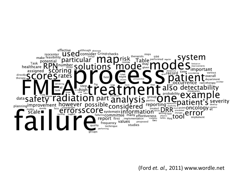

(Ford *et. al.,* 2011) www.wordle.net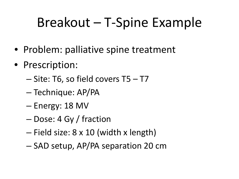# Breakout – T-Spine Example

- Problem: palliative spine treatment
- Prescription:
	- Site: T6, so field covers T5 T7
	- Technique: AP/PA
	- Energy: 18 MV
	- Dose: 4 Gy / fraction
	- Field size: 8 x 10 (width x length)
	- SAD setup, AP/PA separation 20 cm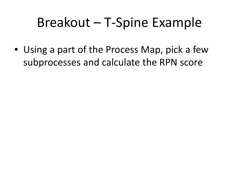### Breakout – T-Spine Example

• Using a part of the Process Map, pick a few subprocesses and calculate the RPN score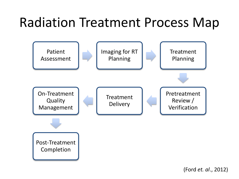#### Radiation Treatment Process Map



(Ford *et. al*., 2012)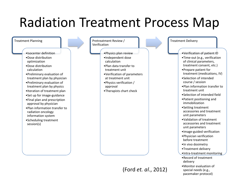#### Radiation Treatment Process Map



(Ford *et. al*., 2012)

special needs (e.g., pacemaker protocol)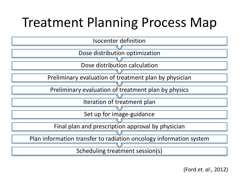#### Treatment Planning Process Map



(Ford *et. al*., 2012)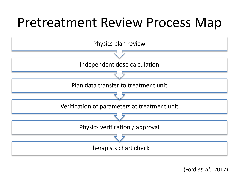#### Pretreatment Review Process Map



(Ford *et. al*., 2012)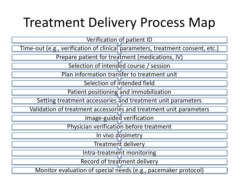#### Treatment Delivery Process Map

Verification of patient ID

Time-out (e.g., verification of clinical parameters, treatment consent, etc.)

Prepare patient for treatment (medications, IV)

Selection of intended course / session

Plan information transfer to treatment unit

Selection of intended field

Patient positioning and immobilization

Setting treatment accessories and treatment unit parameters

Validation of treatment accessories and treatment unit parameters

Image-guided verification

Physician verification before treatment

In vivo dosimetry

Treatment delivery

Intra-treatment monitoring

Record of treatment delivery

Monitor evaluation of special needs (e.g., pacemaker protocol) **Theorie (e.g.)**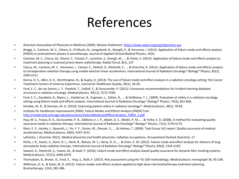#### References

- American Association of Physicists in Medicine (2009). Mission Statement. <https://www.aapm.org/org/objectives.asp>
- Broggi, S., Cantone, M. C., Chiara, A., Di Muzio, N., Longobardi, B., Mangili, P., & Veronese, I. (2013). Application of failure mode and effects analysis (FMEA) to pretreatment phases in tomotherapy. Journal of Applied Clinical Medical Physics, 14(5).
- Cantone, M. C., Ciocca, M., Dionisi, F., Fossati, P., Lorentini, S., Krengli, M., ... & Vitolo, V. (2013). Application of failure mode and effects analysis to treatment planning in scanned proton beam radiotherapy. Radiat Oncol, 8(1), 127.
- Ciocca, M., Cantone, M. C., Veronese, I., Cattani, F., Pedroli, G., Molinelli, S., ... & Orecchia, R. (2012). Application of failure mode and effects analysis to intraoperative radiation therapy using mobile electron linear accelerators. International Journal of Radiation Oncology\* Biology\* Physics, 82(2), e305-e311.
- Denny, D. S., Allen, D. K., Worthington, N., & Gupta, D. (2014). The use of failure mode and effect analysis in a radiation oncology setting: the Cancer Treatment Centers of America Experience. Journal for Healthcare Quality, 36(1), 18-28.
- Ford, E. C., de Los Santos, L. F., Pawlicki, T., Sutlief, S., & Dunscombe, P. (2012). Consensus recommendations for incident learning database structures in radiation oncology. *Medical physics*, *39*(12), 7272-7290.
- Ford, E. C., Gaudette, R., Myers, L., Vanderver, B., Engineer, L., Zellars, R., ... & DeWeese, T. L. (2009). Evaluation of safety in a radiation oncology setting using failure mode and effects analysis. International Journal of Radiation Oncology\* Biology\* Physics, 74(3), 852-858.
- Hendee, W. R., & Herman, M. G. (2010). Improving patient safety in radiation oncologya) . *Medical physics*, *38*(1), 78-82.
- Institute for Healthcare Improvement (2004). Failure Modes and Effects Analysis (FMEA) Tool. [http://medqi.bsd.uchicago.edu/documents/FailureModesandEffectsAnalysis\\_FMEA\\_1.pdf](http://medqi.bsd.uchicago.edu/documents/FailureModesandEffectsAnalysis_FMEA_1.pdf)
- Huq, M. S., Fraass, B. A., Dunscombe, P. B., Gibbons Jr, J. P., Ibbott, G. S., Medin, P. M., ... & Yorke, E. D. (2008). A method for evaluating quality assurance needs in radiation therapy. International Journal of Radiation Oncology\* Biology\* Physics, 71(1), S170-S173.
- Klein, E. E., Hanley, J., Bayouth, J., Yin, F. F., Simon, W., Dresser, S., ... & Holmes, T. (2009). Task Group 142 report: Quality assurance of medical acceleratorsa). Medical physics, 36(9), 4197-4212.
- LaPointe, J. (Summer 2011). Medical physicists and health physicists: radiation occupations. *Occupational Outlook Quarterly*, 17.
- Perks, J. R., Stanic, S., Stern, R. L., Henk, B., Nelson, M. S., Harse, R. D., ... & Chen, A. M. (2012). Failure mode and effect analysis for delivery of lung stereotactic body radiation therapy. International Journal of Radiation Oncology\* Biology\* Physics, 83(4), 1324-1329.
- Sawant, A., Dieterich, S., Svatos, M., & Keall, P. (2010). Failure mode and effect analysis-based quality assurance for dynamic MLC tracking systems. Medical physics, 37(12), 6466-6479.
- Thomadsen, B., Brown, D., Ford, E., Huq, S., Rath, F. (2013). Risk assessment using the TG-100 methodology. *Medical physics monograph 36*, 95-108.
- Wilkinson, D. A., & Kolar, M. D. (2013). Failure modes and effects analysis applied to high-dose-rate brachytherapy treatment planning. Brachytherapy, 12(4), 382-386.